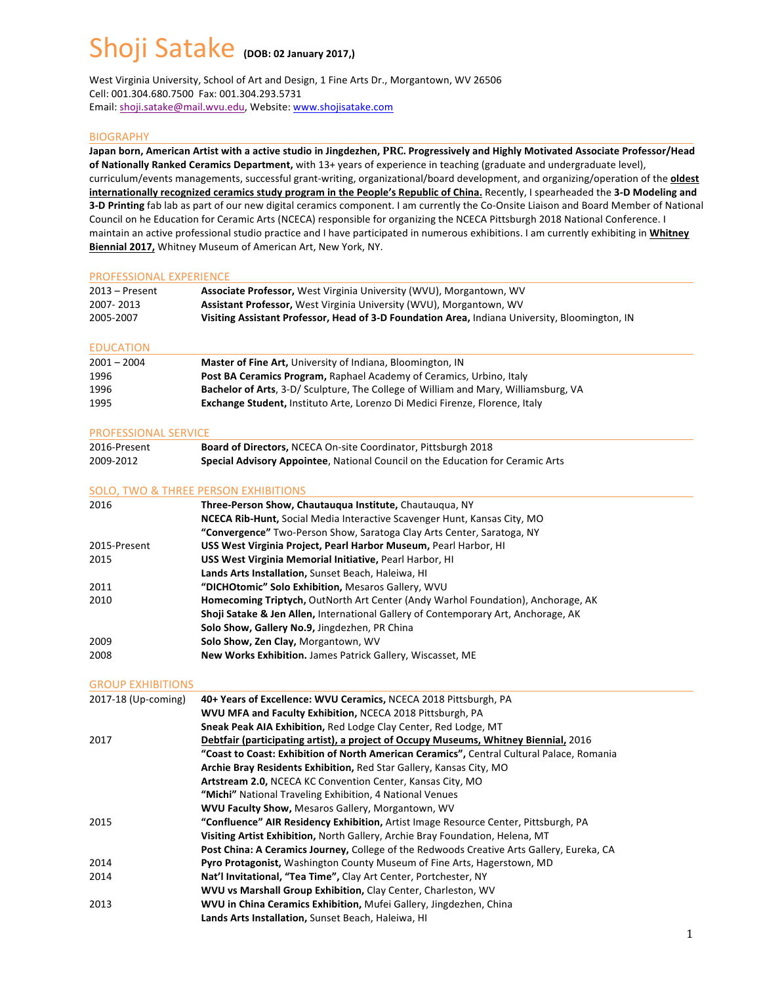# Shoji Satake (DOB: 02 January 2017,)

West Virginia University, School of Art and Design, 1 Fine Arts Dr., Morgantown, WV 26506 Cell: 001.304.680.7500 Fax: 001.304.293.5731 Email: shoji.satake@mail.wvu.edu, Website: www.shojisatake.com

### BIOGRAPHY

Japan born, American Artist with a active studio in Jingdezhen, PRC. Progressively and Highly Motivated Associate Professor/Head of Nationally Ranked Ceramics Department, with 13+ years of experience in teaching (graduate and undergraduate level), curriculum/events managements, successful grant-writing, organizational/board development, and organizing/operation of the **oldest** internationally recognized ceramics study program in the People's Republic of China. Recently, I spearheaded the 3-D Modeling and **3-D Printing** fab lab as part of our new digital ceramics component. I am currently the Co-Onsite Liaison and Board Member of National Council on he Education for Ceramic Arts (NCECA) responsible for organizing the NCECA Pittsburgh 2018 National Conference. I maintain an active professional studio practice and I have participated in numerous exhibitions. I am currently exhibiting in *Whitney* **Biennial 2017,** Whitney Museum of American Art, New York, NY.

#### PROFESSIONAL EXPERIENCE

| $2013 -$ Present | Associate Professor, West Virginia University (WVU), Morgantown, WV                            |
|------------------|------------------------------------------------------------------------------------------------|
| 2007-2013        | Assistant Professor, West Virginia University (WVU), Morgantown, WV                            |
| 2005-2007        | Visiting Assistant Professor, Head of 3-D Foundation Area, Indiana University, Bloomington, IN |

#### EDUCATION

| $2001 - 2004$ | <b>Master of Fine Art, University of Indiana, Bloomington, IN</b>                   |
|---------------|-------------------------------------------------------------------------------------|
| 1996          | Post BA Ceramics Program, Raphael Academy of Ceramics, Urbino, Italy                |
| 1996          | Bachelor of Arts, 3-D/ Sculpture, The College of William and Mary, Williamsburg, VA |
| 1995          | <b>Exchange Student, Instituto Arte, Lorenzo Di Medici Firenze, Florence, Italy</b> |

#### PROFESSIONAL SERVICE

| 2016-Present | <b>Board of Directors, NCECA On-site Coordinator, Pittsburgh 2018</b>                 |
|--------------|---------------------------------------------------------------------------------------|
| 2009-2012    | <b>Special Advisory Appointee, National Council on the Education for Ceramic Arts</b> |

#### SOLO, TWO & THREE PERSON EXHIBITIONS

| 2016         | Three-Person Show, Chautaugua Institute, Chautaugua, NY                                       |  |
|--------------|-----------------------------------------------------------------------------------------------|--|
|              | <b>NCECA Rib-Hunt, Social Media Interactive Scavenger Hunt, Kansas City, MO</b>               |  |
|              | "Convergence" Two-Person Show, Saratoga Clay Arts Center, Saratoga, NY                        |  |
| 2015-Present | USS West Virginia Project, Pearl Harbor Museum, Pearl Harbor, HI                              |  |
| 2015         | USS West Virginia Memorial Initiative, Pearl Harbor, HI                                       |  |
|              | Lands Arts Installation, Sunset Beach, Haleiwa, HI                                            |  |
| 2011         | "DICHOtomic" Solo Exhibition, Mesaros Gallery, WVU                                            |  |
| 2010         | Homecoming Triptych, OutNorth Art Center (Andy Warhol Foundation), Anchorage, AK              |  |
|              | <b>Shoji Satake &amp; Jen Allen, International Gallery of Contemporary Art, Anchorage, AK</b> |  |
|              | Solo Show, Gallery No.9, Jingdezhen, PR China                                                 |  |
| 2009         | Solo Show, Zen Clay, Morgantown, WV                                                           |  |
| 2008         | New Works Exhibition. James Patrick Gallery, Wiscasset, ME                                    |  |
|              |                                                                                               |  |

#### **GROUP EXHIBITIONS**

| 2017-18 (Up-coming) | 40+ Years of Excellence: WVU Ceramics, NCECA 2018 Pittsburgh, PA                          |
|---------------------|-------------------------------------------------------------------------------------------|
|                     | WVU MFA and Faculty Exhibition, NCECA 2018 Pittsburgh, PA                                 |
|                     | Sneak Peak AIA Exhibition, Red Lodge Clay Center, Red Lodge, MT                           |
| 2017                | Debtfair (participating artist), a project of Occupy Museums, Whitney Biennial, 2016      |
|                     | "Coast to Coast: Exhibition of North American Ceramics", Central Cultural Palace, Romania |
|                     | Archie Bray Residents Exhibition, Red Star Gallery, Kansas City, MO                       |
|                     | Artstream 2.0, NCECA KC Convention Center, Kansas City, MO                                |
|                     | "Michi" National Traveling Exhibition, 4 National Venues                                  |
|                     | <b>WVU Faculty Show, Mesaros Gallery, Morgantown, WV</b>                                  |
| 2015                | "Confluence" AIR Residency Exhibition, Artist Image Resource Center, Pittsburgh, PA       |
|                     | Visiting Artist Exhibition, North Gallery, Archie Bray Foundation, Helena, MT             |
|                     | Post China: A Ceramics Journey, College of the Redwoods Creative Arts Gallery, Eureka, CA |
| 2014                | <b>Pyro Protagonist, Washington County Museum of Fine Arts, Hagerstown, MD</b>            |
| 2014                | Nat'l Invitational, "Tea Time", Clay Art Center, Portchester, NY                          |
|                     | WVU vs Marshall Group Exhibition, Clay Center, Charleston, WV                             |
| 2013                | WVU in China Ceramics Exhibition, Mufei Gallery, Jingdezhen, China                        |
|                     | Lands Arts Installation, Sunset Beach, Haleiwa, HI                                        |